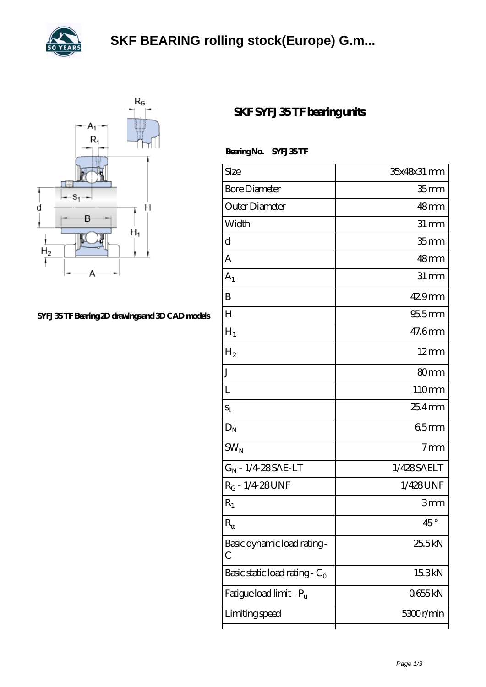



## **[SYFJ 35 TF Bearing 2D drawings and 3D CAD models](https://levitra-genericos.com/pic-587776.html)**

## **[SKF SYFJ 35 TF bearing units](https://levitra-genericos.com/skf-syfj-35-tf-bearing/)**

Bearing No. SYFJ 35 TF

| Size                                | 35x48x31 mm       |
|-------------------------------------|-------------------|
| <b>Bore Diameter</b>                | 35 <sub>mm</sub>  |
| Outer Diameter                      | 48mm              |
| Width                               | $31 \, \text{mm}$ |
| d                                   | 35 <sub>mm</sub>  |
| A                                   | 48mm              |
| $A_1$                               | $31 \, \text{mm}$ |
| B                                   | 429mm             |
| $H_{\rm 1}$                         | $955$ mm          |
| $H_1$                               | 47.6mm            |
| $H_2$                               | $12 \text{mm}$    |
| $\rm J$                             | 80mm              |
| L                                   | 110mm             |
| $S_1$                               | $254$ mm          |
| $D_N$                               | 65mm              |
| $SW_N$                              | 7 <sub>mm</sub>   |
| $G_N - 1/4.28 SAE-LT$               | 1/428SAELT        |
| $R_G - 1/4.28$ UNF                  | 1/428UNF          |
| $R_1$                               | 3mm               |
| $\mathbf R$                         | $45^{\circ}$      |
| Basic dynamic load rating-<br>С     | 25.5kN            |
| Basic static load rating - $C_0$    | 15.3kN            |
| Fatigue load limit - P <sub>u</sub> | 0655kN            |
| Limiting speed                      | 5300r/min         |
|                                     |                   |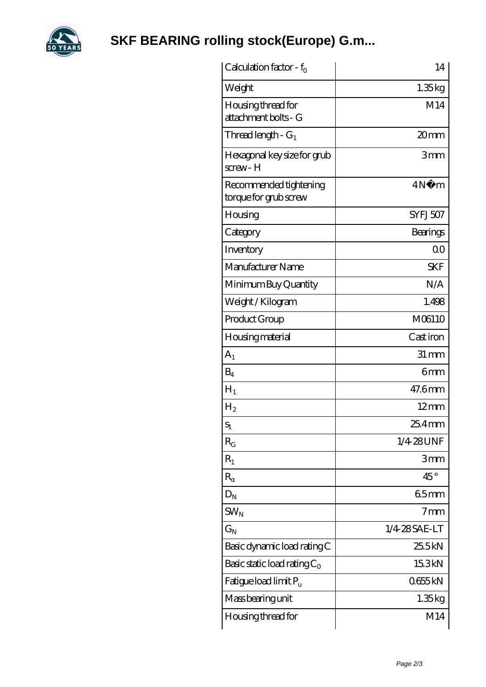

**[SKF BEARING rolling stock\(Europe\) G.m...](https://levitra-genericos.com)**

| Calculation factor - $f_0$                      | 14                |
|-------------------------------------------------|-------------------|
| Weight                                          | 1.35kg            |
| Housing thread for<br>attachment bolts - G      | M14               |
| Thread length - G <sub>1</sub>                  | 20mm              |
| Hexagonal key size for grub<br>$s$ crew - $H$   | 3mm               |
| Recommended tightening<br>torque for grub screw | 4N<br>m           |
| Housing                                         | SYFJ507           |
| Category                                        | Bearings          |
| Inventory                                       | 0 <sup>0</sup>    |
| Manufacturer Name                               | <b>SKF</b>        |
| Minimum Buy Quantity                            | N/A               |
| Weight/Kilogram                                 | 1.498             |
| Product Group                                   | M06110            |
| <b>Housing material</b>                         | Cast iron         |
| A <sub>1</sub>                                  | $31 \, \text{mm}$ |
| $B_4$                                           | 6mm               |
| $H_1$                                           | 47.6mm            |
| $H_2$                                           | $12 \text{mm}$    |
| $S_1$                                           | 25.4 mm           |
| $R_G$                                           | 1/4-28UNF         |
| $R_1$                                           | 3mm               |
| $\mathbb R$                                     | $45^{\circ}$      |
| $D_N$                                           | 65mm              |
| $SW_{N}$                                        | 7 <sub>mm</sub>   |
| $\rm{G_N}$                                      | 1/4 28 SAE-LT     |
| Basic dynamic load rating C                     | 25.5kN            |
| Basic static load rating $C_0$                  | 15.3kN            |
| Fatigue load limit Pu                           | 0655kN            |
| Mass bearing unit                               | 1.35kg            |
| Housing thread for                              | M14               |